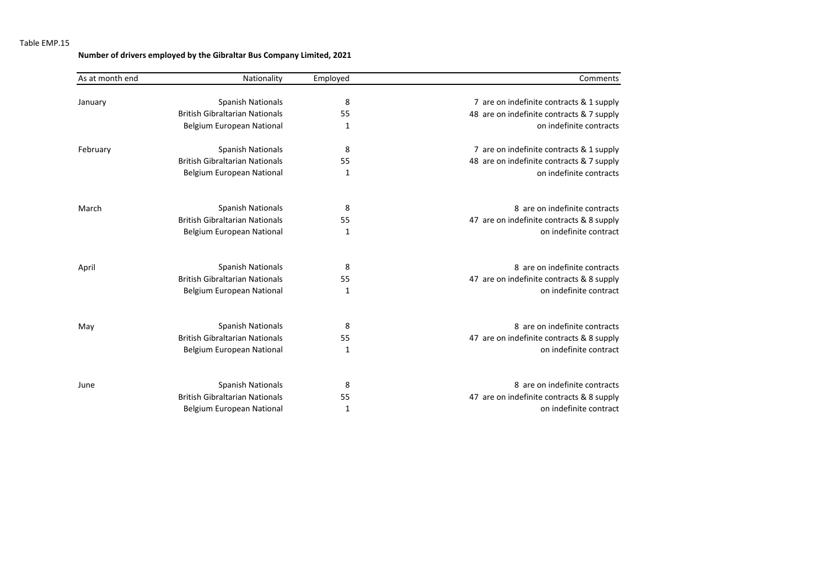## Table EMP.15

## **Number of drivers employed by the Gibraltar Bus Company Limited, 2021**

| As at month end | Nationality                           | Employed | Comments                                  |
|-----------------|---------------------------------------|----------|-------------------------------------------|
|                 |                                       |          |                                           |
| January         | <b>Spanish Nationals</b>              | 8        | 7 are on indefinite contracts & 1 supply  |
|                 | <b>British Gibraltarian Nationals</b> | 55       | 48 are on indefinite contracts & 7 supply |
|                 | Belgium European National             | 1        | on indefinite contracts                   |
| February        | <b>Spanish Nationals</b>              | 8        | 7 are on indefinite contracts & 1 supply  |
|                 | <b>British Gibraltarian Nationals</b> | 55       | 48 are on indefinite contracts & 7 supply |
|                 | Belgium European National             | 1        | on indefinite contracts                   |
| March           | <b>Spanish Nationals</b>              | 8        | 8 are on indefinite contracts             |
|                 | <b>British Gibraltarian Nationals</b> | 55       | 47 are on indefinite contracts & 8 supply |
|                 | Belgium European National             | 1        | on indefinite contract                    |
| April           | <b>Spanish Nationals</b>              | 8        | 8 are on indefinite contracts             |
|                 | <b>British Gibraltarian Nationals</b> | 55       | 47 are on indefinite contracts & 8 supply |
|                 | Belgium European National             | 1        | on indefinite contract                    |
| May             | <b>Spanish Nationals</b>              | 8        | 8 are on indefinite contracts             |
|                 | <b>British Gibraltarian Nationals</b> | 55       | 47 are on indefinite contracts & 8 supply |
|                 | Belgium European National             | 1        | on indefinite contract                    |
| June            | <b>Spanish Nationals</b>              | 8        | 8 are on indefinite contracts             |
|                 | <b>British Gibraltarian Nationals</b> | 55       | 47 are on indefinite contracts & 8 supply |
|                 | Belgium European National             | 1        | on indefinite contract                    |